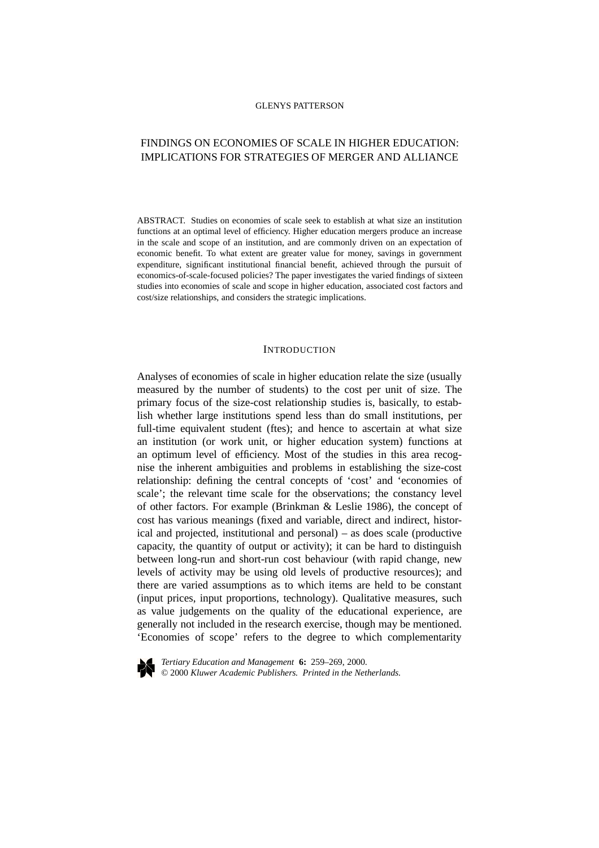# FINDINGS ON ECONOMIES OF SCALE IN HIGHER EDUCATION: IMPLICATIONS FOR STRATEGIES OF MERGER AND ALLIANCE

ABSTRACT. Studies on economies of scale seek to establish at what size an institution functions at an optimal level of efficiency. Higher education mergers produce an increase in the scale and scope of an institution, and are commonly driven on an expectation of economic benefit. To what extent are greater value for money, savings in government expenditure, significant institutional financial benefit, achieved through the pursuit of economics-of-scale-focused policies? The paper investigates the varied findings of sixteen studies into economies of scale and scope in higher education, associated cost factors and cost/size relationships, and considers the strategic implications.

#### **INTRODUCTION**

Analyses of economies of scale in higher education relate the size (usually measured by the number of students) to the cost per unit of size. The primary focus of the size-cost relationship studies is, basically, to establish whether large institutions spend less than do small institutions, per full-time equivalent student (ftes); and hence to ascertain at what size an institution (or work unit, or higher education system) functions at an optimum level of efficiency. Most of the studies in this area recognise the inherent ambiguities and problems in establishing the size-cost relationship: defining the central concepts of 'cost' and 'economies of scale'; the relevant time scale for the observations; the constancy level of other factors. For example (Brinkman & Leslie 1986), the concept of cost has various meanings (fixed and variable, direct and indirect, historical and projected, institutional and personal) – as does scale (productive capacity, the quantity of output or activity); it can be hard to distinguish between long-run and short-run cost behaviour (with rapid change, new levels of activity may be using old levels of productive resources); and there are varied assumptions as to which items are held to be constant (input prices, input proportions, technology). Qualitative measures, such as value judgements on the quality of the educational experience, are generally not included in the research exercise, though may be mentioned. 'Economies of scope' refers to the degree to which complementarity



*Tertiary Education and Management* **6:** 259–269, 2000. © 2000 *Kluwer Academic Publishers. Printed in the Netherlands.*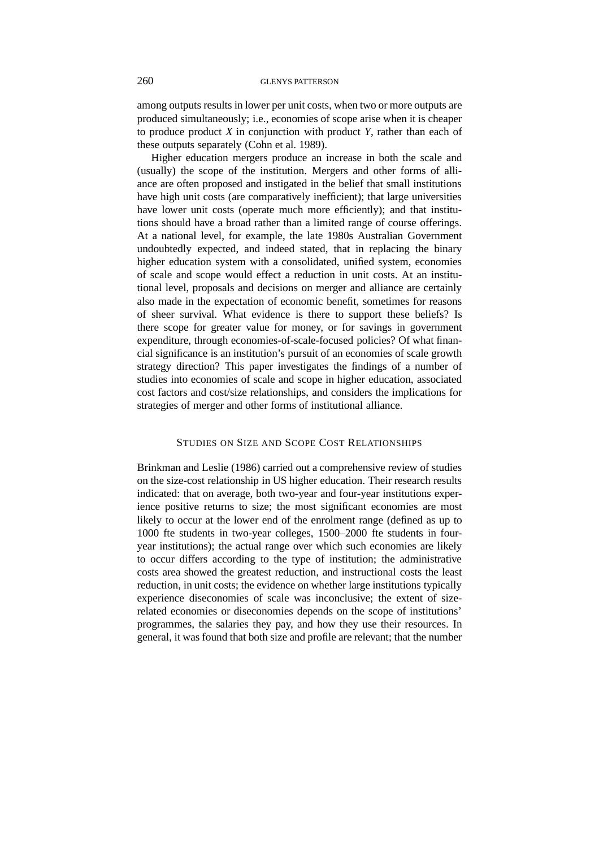among outputs results in lower per unit costs, when two or more outputs are produced simultaneously; i.e., economies of scope arise when it is cheaper to produce product *X* in conjunction with product *Y*, rather than each of these outputs separately (Cohn et al. 1989).

Higher education mergers produce an increase in both the scale and (usually) the scope of the institution. Mergers and other forms of alliance are often proposed and instigated in the belief that small institutions have high unit costs (are comparatively inefficient); that large universities have lower unit costs (operate much more efficiently); and that institutions should have a broad rather than a limited range of course offerings. At a national level, for example, the late 1980s Australian Government undoubtedly expected, and indeed stated, that in replacing the binary higher education system with a consolidated, unified system, economies of scale and scope would effect a reduction in unit costs. At an institutional level, proposals and decisions on merger and alliance are certainly also made in the expectation of economic benefit, sometimes for reasons of sheer survival. What evidence is there to support these beliefs? Is there scope for greater value for money, or for savings in government expenditure, through economies-of-scale-focused policies? Of what financial significance is an institution's pursuit of an economies of scale growth strategy direction? This paper investigates the findings of a number of studies into economies of scale and scope in higher education, associated cost factors and cost/size relationships, and considers the implications for strategies of merger and other forms of institutional alliance.

### STUDIES ON SIZE AND SCOPE COST RELATIONSHIPS

Brinkman and Leslie (1986) carried out a comprehensive review of studies on the size-cost relationship in US higher education. Their research results indicated: that on average, both two-year and four-year institutions experience positive returns to size; the most significant economies are most likely to occur at the lower end of the enrolment range (defined as up to 1000 fte students in two-year colleges, 1500–2000 fte students in fouryear institutions); the actual range over which such economies are likely to occur differs according to the type of institution; the administrative costs area showed the greatest reduction, and instructional costs the least reduction, in unit costs; the evidence on whether large institutions typically experience diseconomies of scale was inconclusive; the extent of sizerelated economies or diseconomies depends on the scope of institutions' programmes, the salaries they pay, and how they use their resources. In general, it was found that both size and profile are relevant; that the number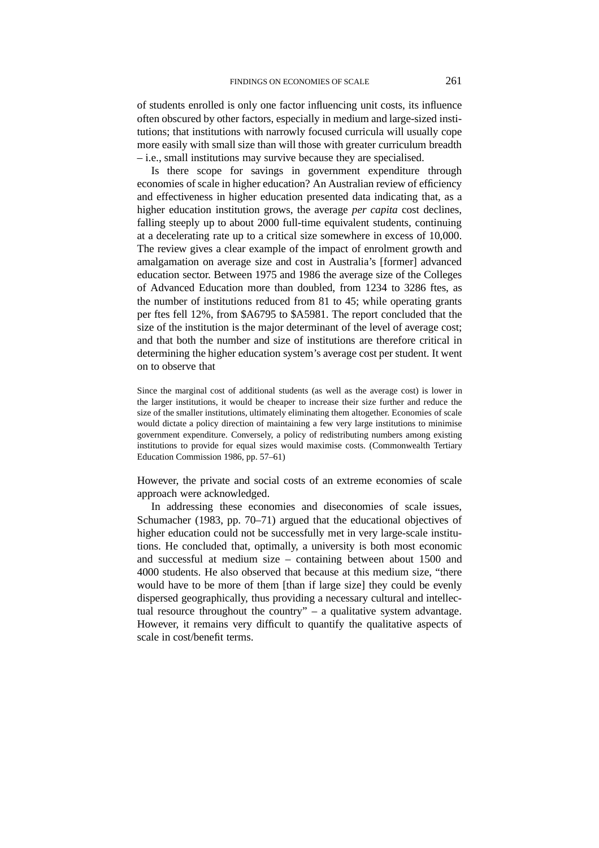of students enrolled is only one factor influencing unit costs, its influence often obscured by other factors, especially in medium and large-sized institutions; that institutions with narrowly focused curricula will usually cope more easily with small size than will those with greater curriculum breadth – i.e., small institutions may survive because they are specialised.

Is there scope for savings in government expenditure through economies of scale in higher education? An Australian review of efficiency and effectiveness in higher education presented data indicating that, as a higher education institution grows, the average *per capita* cost declines, falling steeply up to about 2000 full-time equivalent students, continuing at a decelerating rate up to a critical size somewhere in excess of 10,000. The review gives a clear example of the impact of enrolment growth and amalgamation on average size and cost in Australia's [former] advanced education sector. Between 1975 and 1986 the average size of the Colleges of Advanced Education more than doubled, from 1234 to 3286 ftes, as the number of institutions reduced from 81 to 45; while operating grants per ftes fell 12%, from \$A6795 to \$A5981. The report concluded that the size of the institution is the major determinant of the level of average cost; and that both the number and size of institutions are therefore critical in determining the higher education system's average cost per student. It went on to observe that

Since the marginal cost of additional students (as well as the average cost) is lower in the larger institutions, it would be cheaper to increase their size further and reduce the size of the smaller institutions, ultimately eliminating them altogether. Economies of scale would dictate a policy direction of maintaining a few very large institutions to minimise government expenditure. Conversely, a policy of redistributing numbers among existing institutions to provide for equal sizes would maximise costs. (Commonwealth Tertiary Education Commission 1986, pp. 57–61)

However, the private and social costs of an extreme economies of scale approach were acknowledged.

In addressing these economies and diseconomies of scale issues, Schumacher (1983, pp. 70–71) argued that the educational objectives of higher education could not be successfully met in very large-scale institutions. He concluded that, optimally, a university is both most economic and successful at medium size – containing between about 1500 and 4000 students. He also observed that because at this medium size, "there would have to be more of them [than if large size] they could be evenly dispersed geographically, thus providing a necessary cultural and intellectual resource throughout the country" – a qualitative system advantage. However, it remains very difficult to quantify the qualitative aspects of scale in cost/benefit terms.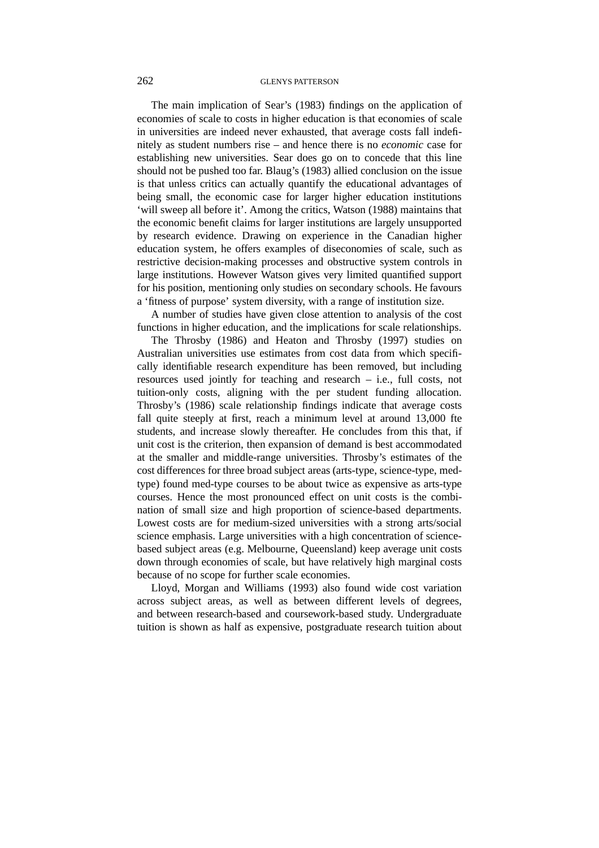The main implication of Sear's (1983) findings on the application of economies of scale to costs in higher education is that economies of scale in universities are indeed never exhausted, that average costs fall indefinitely as student numbers rise – and hence there is no *economic* case for establishing new universities. Sear does go on to concede that this line should not be pushed too far. Blaug's (1983) allied conclusion on the issue is that unless critics can actually quantify the educational advantages of being small, the economic case for larger higher education institutions 'will sweep all before it'. Among the critics, Watson (1988) maintains that the economic benefit claims for larger institutions are largely unsupported by research evidence. Drawing on experience in the Canadian higher education system, he offers examples of diseconomies of scale, such as restrictive decision-making processes and obstructive system controls in large institutions. However Watson gives very limited quantified support for his position, mentioning only studies on secondary schools. He favours a 'fitness of purpose' system diversity, with a range of institution size.

A number of studies have given close attention to analysis of the cost functions in higher education, and the implications for scale relationships.

The Throsby (1986) and Heaton and Throsby (1997) studies on Australian universities use estimates from cost data from which specifically identifiable research expenditure has been removed, but including resources used jointly for teaching and research – i.e., full costs, not tuition-only costs, aligning with the per student funding allocation. Throsby's (1986) scale relationship findings indicate that average costs fall quite steeply at first, reach a minimum level at around 13,000 fte students, and increase slowly thereafter. He concludes from this that, if unit cost is the criterion, then expansion of demand is best accommodated at the smaller and middle-range universities. Throsby's estimates of the cost differences for three broad subject areas (arts-type, science-type, medtype) found med-type courses to be about twice as expensive as arts-type courses. Hence the most pronounced effect on unit costs is the combination of small size and high proportion of science-based departments. Lowest costs are for medium-sized universities with a strong arts/social science emphasis. Large universities with a high concentration of sciencebased subject areas (e.g. Melbourne, Queensland) keep average unit costs down through economies of scale, but have relatively high marginal costs because of no scope for further scale economies.

Lloyd, Morgan and Williams (1993) also found wide cost variation across subject areas, as well as between different levels of degrees, and between research-based and coursework-based study. Undergraduate tuition is shown as half as expensive, postgraduate research tuition about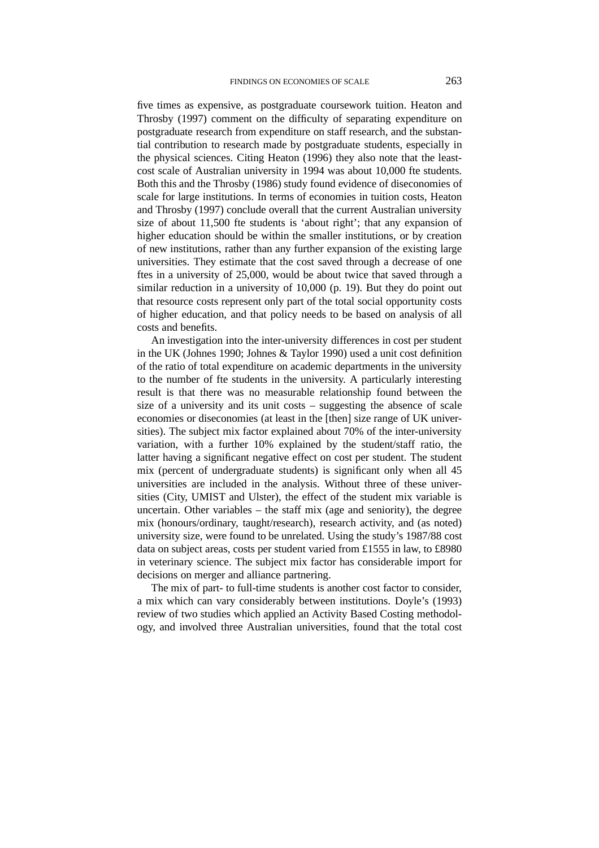five times as expensive, as postgraduate coursework tuition. Heaton and Throsby (1997) comment on the difficulty of separating expenditure on postgraduate research from expenditure on staff research, and the substantial contribution to research made by postgraduate students, especially in the physical sciences. Citing Heaton (1996) they also note that the leastcost scale of Australian university in 1994 was about 10,000 fte students. Both this and the Throsby (1986) study found evidence of diseconomies of scale for large institutions. In terms of economies in tuition costs, Heaton and Throsby (1997) conclude overall that the current Australian university size of about 11,500 fte students is 'about right'; that any expansion of higher education should be within the smaller institutions, or by creation of new institutions, rather than any further expansion of the existing large universities. They estimate that the cost saved through a decrease of one ftes in a university of 25,000, would be about twice that saved through a similar reduction in a university of 10,000 (p. 19). But they do point out that resource costs represent only part of the total social opportunity costs of higher education, and that policy needs to be based on analysis of all costs and benefits.

An investigation into the inter-university differences in cost per student in the UK (Johnes 1990; Johnes & Taylor 1990) used a unit cost definition of the ratio of total expenditure on academic departments in the university to the number of fte students in the university. A particularly interesting result is that there was no measurable relationship found between the size of a university and its unit costs – suggesting the absence of scale economies or diseconomies (at least in the [then] size range of UK universities). The subject mix factor explained about 70% of the inter-university variation, with a further 10% explained by the student/staff ratio, the latter having a significant negative effect on cost per student. The student mix (percent of undergraduate students) is significant only when all 45 universities are included in the analysis. Without three of these universities (City, UMIST and Ulster), the effect of the student mix variable is uncertain. Other variables – the staff mix (age and seniority), the degree mix (honours/ordinary, taught/research), research activity, and (as noted) university size, were found to be unrelated. Using the study's 1987/88 cost data on subject areas, costs per student varied from £1555 in law, to £8980 in veterinary science. The subject mix factor has considerable import for decisions on merger and alliance partnering.

The mix of part- to full-time students is another cost factor to consider, a mix which can vary considerably between institutions. Doyle's (1993) review of two studies which applied an Activity Based Costing methodology, and involved three Australian universities, found that the total cost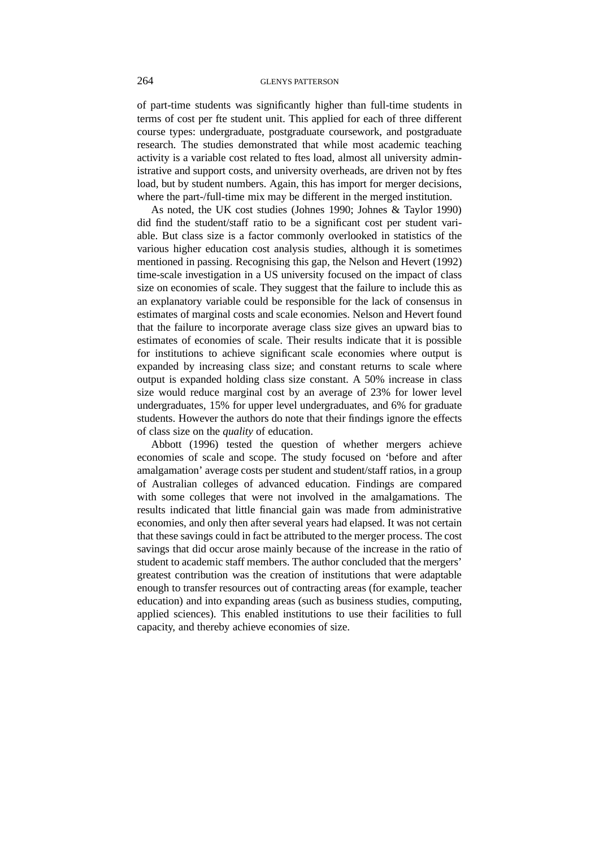of part-time students was significantly higher than full-time students in terms of cost per fte student unit. This applied for each of three different course types: undergraduate, postgraduate coursework, and postgraduate research. The studies demonstrated that while most academic teaching activity is a variable cost related to ftes load, almost all university administrative and support costs, and university overheads, are driven not by ftes load, but by student numbers. Again, this has import for merger decisions, where the part-/full-time mix may be different in the merged institution.

As noted, the UK cost studies (Johnes 1990; Johnes & Taylor 1990) did find the student/staff ratio to be a significant cost per student variable. But class size is a factor commonly overlooked in statistics of the various higher education cost analysis studies, although it is sometimes mentioned in passing. Recognising this gap, the Nelson and Hevert (1992) time-scale investigation in a US university focused on the impact of class size on economies of scale. They suggest that the failure to include this as an explanatory variable could be responsible for the lack of consensus in estimates of marginal costs and scale economies. Nelson and Hevert found that the failure to incorporate average class size gives an upward bias to estimates of economies of scale. Their results indicate that it is possible for institutions to achieve significant scale economies where output is expanded by increasing class size; and constant returns to scale where output is expanded holding class size constant. A 50% increase in class size would reduce marginal cost by an average of 23% for lower level undergraduates, 15% for upper level undergraduates, and 6% for graduate students. However the authors do note that their findings ignore the effects of class size on the *quality* of education.

Abbott (1996) tested the question of whether mergers achieve economies of scale and scope. The study focused on 'before and after amalgamation' average costs per student and student/staff ratios, in a group of Australian colleges of advanced education. Findings are compared with some colleges that were not involved in the amalgamations. The results indicated that little financial gain was made from administrative economies, and only then after several years had elapsed. It was not certain that these savings could in fact be attributed to the merger process. The cost savings that did occur arose mainly because of the increase in the ratio of student to academic staff members. The author concluded that the mergers' greatest contribution was the creation of institutions that were adaptable enough to transfer resources out of contracting areas (for example, teacher education) and into expanding areas (such as business studies, computing, applied sciences). This enabled institutions to use their facilities to full capacity, and thereby achieve economies of size.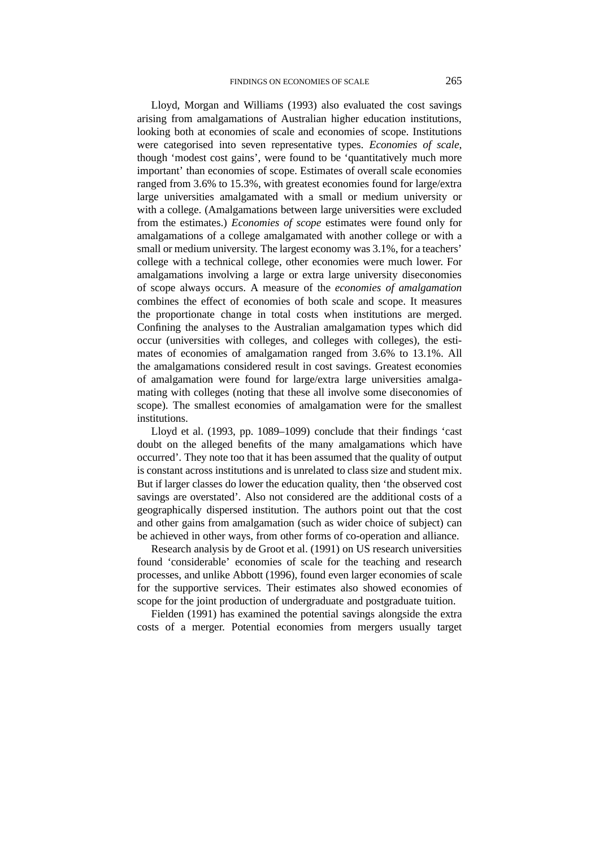Lloyd, Morgan and Williams (1993) also evaluated the cost savings arising from amalgamations of Australian higher education institutions, looking both at economies of scale and economies of scope. Institutions were categorised into seven representative types. *Economies of scale*, though 'modest cost gains', were found to be 'quantitatively much more important' than economies of scope. Estimates of overall scale economies ranged from 3.6% to 15.3%, with greatest economies found for large/extra large universities amalgamated with a small or medium university or with a college. (Amalgamations between large universities were excluded from the estimates.) *Economies of scope* estimates were found only for amalgamations of a college amalgamated with another college or with a small or medium university. The largest economy was 3.1%, for a teachers' college with a technical college, other economies were much lower. For amalgamations involving a large or extra large university diseconomies of scope always occurs. A measure of the *economies of amalgamation* combines the effect of economies of both scale and scope. It measures the proportionate change in total costs when institutions are merged. Confining the analyses to the Australian amalgamation types which did occur (universities with colleges, and colleges with colleges), the estimates of economies of amalgamation ranged from 3.6% to 13.1%. All the amalgamations considered result in cost savings. Greatest economies of amalgamation were found for large/extra large universities amalgamating with colleges (noting that these all involve some diseconomies of scope). The smallest economies of amalgamation were for the smallest institutions.

Lloyd et al. (1993, pp. 1089–1099) conclude that their findings 'cast doubt on the alleged benefits of the many amalgamations which have occurred'. They note too that it has been assumed that the quality of output is constant across institutions and is unrelated to class size and student mix. But if larger classes do lower the education quality, then 'the observed cost savings are overstated'. Also not considered are the additional costs of a geographically dispersed institution. The authors point out that the cost and other gains from amalgamation (such as wider choice of subject) can be achieved in other ways, from other forms of co-operation and alliance.

Research analysis by de Groot et al. (1991) on US research universities found 'considerable' economies of scale for the teaching and research processes, and unlike Abbott (1996), found even larger economies of scale for the supportive services. Their estimates also showed economies of scope for the joint production of undergraduate and postgraduate tuition.

Fielden (1991) has examined the potential savings alongside the extra costs of a merger. Potential economies from mergers usually target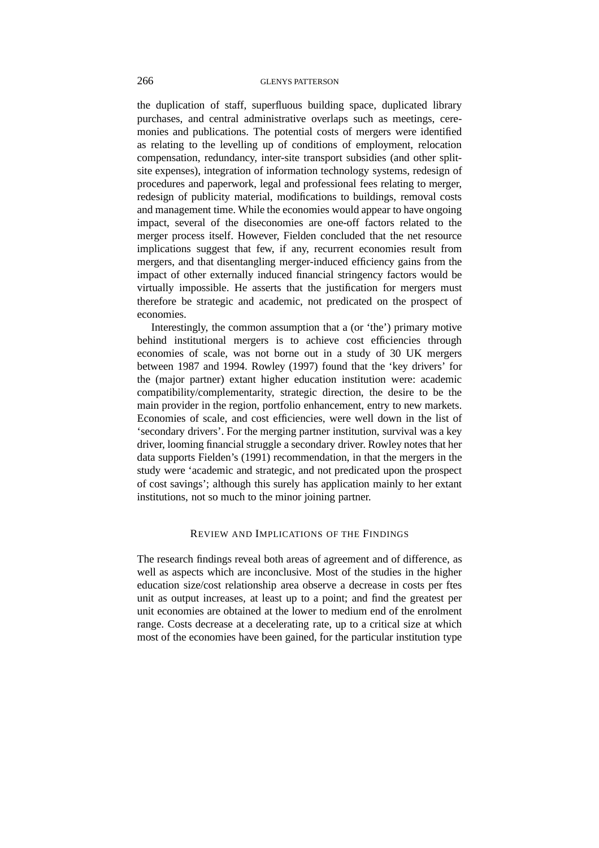the duplication of staff, superfluous building space, duplicated library purchases, and central administrative overlaps such as meetings, ceremonies and publications. The potential costs of mergers were identified as relating to the levelling up of conditions of employment, relocation compensation, redundancy, inter-site transport subsidies (and other splitsite expenses), integration of information technology systems, redesign of procedures and paperwork, legal and professional fees relating to merger, redesign of publicity material, modifications to buildings, removal costs and management time. While the economies would appear to have ongoing impact, several of the diseconomies are one-off factors related to the merger process itself. However, Fielden concluded that the net resource implications suggest that few, if any, recurrent economies result from mergers, and that disentangling merger-induced efficiency gains from the impact of other externally induced financial stringency factors would be virtually impossible. He asserts that the justification for mergers must therefore be strategic and academic, not predicated on the prospect of economies.

Interestingly, the common assumption that a (or 'the') primary motive behind institutional mergers is to achieve cost efficiencies through economies of scale, was not borne out in a study of 30 UK mergers between 1987 and 1994. Rowley (1997) found that the 'key drivers' for the (major partner) extant higher education institution were: academic compatibility/complementarity, strategic direction, the desire to be the main provider in the region, portfolio enhancement, entry to new markets. Economies of scale, and cost efficiencies, were well down in the list of 'secondary drivers'. For the merging partner institution, survival was a key driver, looming financial struggle a secondary driver. Rowley notes that her data supports Fielden's (1991) recommendation, in that the mergers in the study were 'academic and strategic, and not predicated upon the prospect of cost savings'; although this surely has application mainly to her extant institutions, not so much to the minor joining partner.

## REVIEW AND IMPLICATIONS OF THE FINDINGS

The research findings reveal both areas of agreement and of difference, as well as aspects which are inconclusive. Most of the studies in the higher education size/cost relationship area observe a decrease in costs per ftes unit as output increases, at least up to a point; and find the greatest per unit economies are obtained at the lower to medium end of the enrolment range. Costs decrease at a decelerating rate, up to a critical size at which most of the economies have been gained, for the particular institution type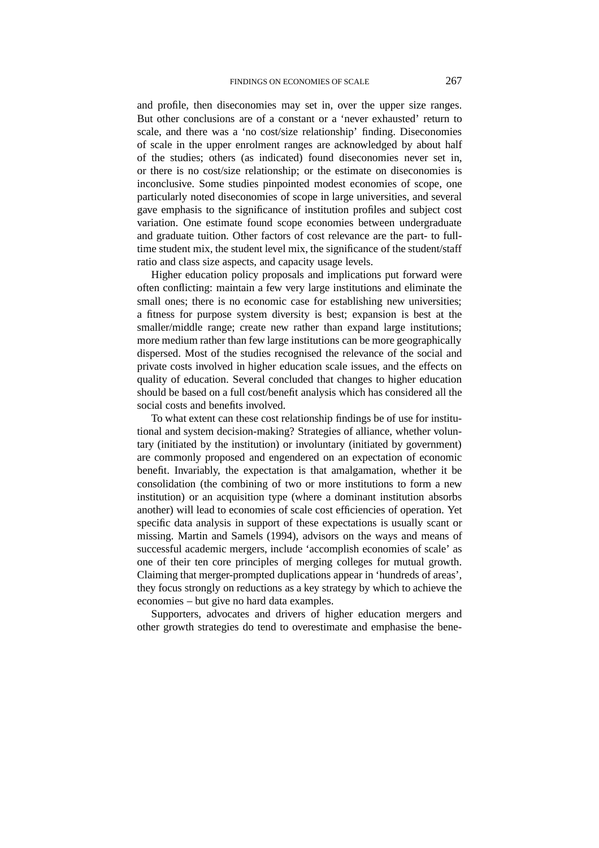and profile, then diseconomies may set in, over the upper size ranges. But other conclusions are of a constant or a 'never exhausted' return to scale, and there was a 'no cost/size relationship' finding. Diseconomies of scale in the upper enrolment ranges are acknowledged by about half of the studies; others (as indicated) found diseconomies never set in, or there is no cost/size relationship; or the estimate on diseconomies is inconclusive. Some studies pinpointed modest economies of scope, one particularly noted diseconomies of scope in large universities, and several gave emphasis to the significance of institution profiles and subject cost variation. One estimate found scope economies between undergraduate and graduate tuition. Other factors of cost relevance are the part- to fulltime student mix, the student level mix, the significance of the student/staff ratio and class size aspects, and capacity usage levels.

Higher education policy proposals and implications put forward were often conflicting: maintain a few very large institutions and eliminate the small ones; there is no economic case for establishing new universities; a fitness for purpose system diversity is best; expansion is best at the smaller/middle range; create new rather than expand large institutions; more medium rather than few large institutions can be more geographically dispersed. Most of the studies recognised the relevance of the social and private costs involved in higher education scale issues, and the effects on quality of education. Several concluded that changes to higher education should be based on a full cost/benefit analysis which has considered all the social costs and benefits involved.

To what extent can these cost relationship findings be of use for institutional and system decision-making? Strategies of alliance, whether voluntary (initiated by the institution) or involuntary (initiated by government) are commonly proposed and engendered on an expectation of economic benefit. Invariably, the expectation is that amalgamation, whether it be consolidation (the combining of two or more institutions to form a new institution) or an acquisition type (where a dominant institution absorbs another) will lead to economies of scale cost efficiencies of operation. Yet specific data analysis in support of these expectations is usually scant or missing. Martin and Samels (1994), advisors on the ways and means of successful academic mergers, include 'accomplish economies of scale' as one of their ten core principles of merging colleges for mutual growth. Claiming that merger-prompted duplications appear in 'hundreds of areas', they focus strongly on reductions as a key strategy by which to achieve the economies – but give no hard data examples.

Supporters, advocates and drivers of higher education mergers and other growth strategies do tend to overestimate and emphasise the bene-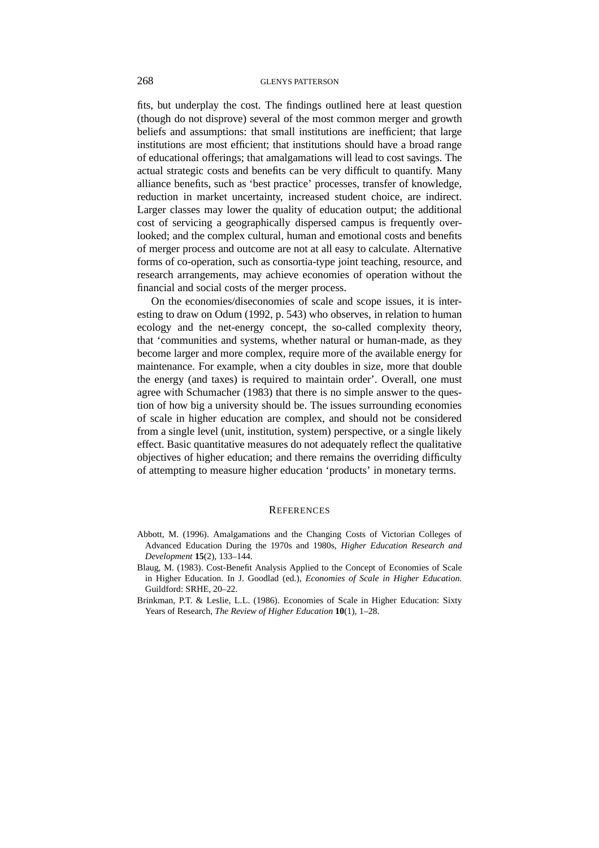fits, but underplay the cost. The findings outlined here at least question (though do not disprove) several of the most common merger and growth beliefs and assumptions: that small institutions are inefficient; that large institutions are most efficient; that institutions should have a broad range of educational offerings; that amalgamations will lead to cost savings. The actual strategic costs and benefits can be very difficult to quantify. Many alliance benefits, such as 'best practice' processes, transfer of knowledge, reduction in market uncertainty, increased student choice, are indirect. Larger classes may lower the quality of education output; the additional cost of servicing a geographically dispersed campus is frequently overlooked; and the complex cultural, human and emotional costs and benefits of merger process and outcome are not at all easy to calculate. Alternative forms of co-operation, such as consortia-type joint teaching, resource, and research arrangements, may achieve economies of operation without the financial and social costs of the merger process.

On the economies/diseconomies of scale and scope issues, it is interesting to draw on Odum (1992, p. 543) who observes, in relation to human ecology and the net-energy concept, the so-called complexity theory, that 'communities and systems, whether natural or human-made, as they become larger and more complex, require more of the available energy for maintenance. For example, when a city doubles in size, more that double the energy (and taxes) is required to maintain order'. Overall, one must agree with Schumacher (1983) that there is no simple answer to the question of how big a university should be. The issues surrounding economies of scale in higher education are complex, and should not be considered from a single level (unit, institution, system) perspective, or a single likely effect. Basic quantitative measures do not adequately reflect the qualitative objectives of higher education; and there remains the overriding difficulty of attempting to measure higher education 'products' in monetary terms.

#### **REFERENCES**

- Abbott, M. (1996). Amalgamations and the Changing Costs of Victorian Colleges of Advanced Education During the 1970s and 1980s, *Higher Education Research and Development* **15**(2), 133–144.
- Blaug, M. (1983). Cost-Benefit Analysis Applied to the Concept of Economies of Scale in Higher Education. In J. Goodlad (ed.), *Economies of Scale in Higher Education*. Guildford: SRHE, 20–22.
- Brinkman, P.T. & Leslie, L.L. (1986). Economies of Scale in Higher Education: Sixty Years of Research, *The Review of Higher Education* **10**(1), 1–28.